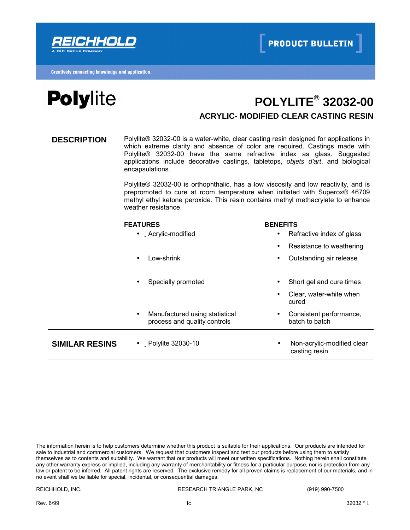



## **POLYLITE® 32032-00 ACRYLIC- MODIFIED CLEAR CASTING RESIN**

**DESCRIPTION** Polylite® 32032-00 is a water-white, clear casting resin designed for applications in which extreme clarity and absence of color are required. Castings made with Polylite® 32032-00 have the same refractive index as glass. Suggested applications include decorative castings, tabletops, *objets d'art*, and biological encapsulations.

> Polylite® 32032-00 is orthophthalic, has a low viscosity and low reactivity, and is prepromoted to cure at room temperature when initiated with Superox® 46709 methyl ethyl ketone peroxide. This resin contains methyl methacrylate to enhance weather resistance.

|                       | <b>FEATURES</b>                                                             | <b>BENEFITS</b>                                          |
|-----------------------|-----------------------------------------------------------------------------|----------------------------------------------------------|
|                       | • Acrylic-modified                                                          | Refractive index of glass<br>$\bullet$                   |
|                       |                                                                             | Resistance to weathering<br>$\bullet$                    |
|                       | Low-shrink<br>$\bullet$                                                     | Outstanding air release<br>$\bullet$                     |
|                       |                                                                             |                                                          |
|                       | Specially promoted<br>$\bullet$                                             | Short gel and cure times<br>$\bullet$                    |
|                       |                                                                             | Clear, water-white when<br>$\bullet$<br>cured            |
|                       | Manufactured using statistical<br>$\bullet$<br>process and quality controls | Consistent performance,<br>$\bullet$<br>batch to batch   |
| <b>SIMILAR RESINS</b> | • Polylite 32030-10                                                         | Non-acrylic-modified clear<br>$\bullet$<br>casting resin |

The information herein is to help customers determine whether this product is suitable for their applications. Our products are intended for sale to industrial and commercial customers. We request that customers inspect and test our products before using them to satisfy themselves as to contents and suitability. We warrant that our products will meet our written specifications. Nothing herein shall constitute any other warranty express or implied, including any warranty of merchantability or fitness for a particular purpose, nor is protection from any law or patent to be inferred. All patent rights are reserved. The exclusive remedy for all proven claims is replacement of our materials, and in no event shall we be liable for special, incidental, or consequential damages.

REICHHOLD, INC. RESEARCH TRIANGLE PARK, NC (919) 990-7500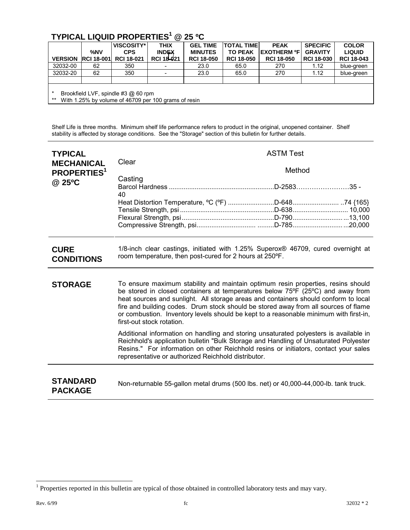## **TYPICAL LIQUID PROPERTIES<sup>1</sup> @ 25 ºC**

|                                                                                                      | %NV               | VISCOSITY*<br><b>CPS</b> | <b>THIX</b><br><b>INDEX</b> | <b>GEL TIME</b><br><b>MINUTES</b> | <b>TOTAL TIME</b><br><b>TO PEAK</b> | <b>PEAK</b><br><b>EXOTHERM ºF</b> | <b>SPECIFIC</b><br><b>GRAVITY</b> | <b>COLOR</b><br><b>LIQUID</b> |  |
|------------------------------------------------------------------------------------------------------|-------------------|--------------------------|-----------------------------|-----------------------------------|-------------------------------------|-----------------------------------|-----------------------------------|-------------------------------|--|
| <b>VERSION</b>                                                                                       | <b>RCI 18-001</b> | <b>RCI 18-021</b>        | <b>RCI 18-021</b>           | <b>RCI 18-050</b>                 | <b>RCI 18-050</b>                   | <b>RCI 18-050</b>                 | <b>RCI 18-030</b>                 | <b>RCI 18-043</b>             |  |
| 32032-00                                                                                             | 62                | 350                      |                             | 23.0                              | 65.0                                | 270                               | 1.12                              | blue-green                    |  |
| 32032-20                                                                                             | 62                | 350                      |                             | 23.0                              | 65.0                                | 270                               | 1.12                              | blue-green                    |  |
|                                                                                                      |                   |                          |                             |                                   |                                     |                                   |                                   |                               |  |
| Brookfield LVF, spindle #3 @ 60 rpm<br>$***$<br>With 1.25% by volume of 46709 per 100 grams of resin |                   |                          |                             |                                   |                                     |                                   |                                   |                               |  |

Shelf Life is three months. Minimum shelf life performance refers to product in the original, unopened container. Shelf stability is affected by storage conditions. See the "Storage" section of this bulletin for further details.

| <b>TYPICAL</b><br><b>MECHANICAL</b><br><b>PROPERTIES</b> <sup>1</sup><br>@ 25°C | Clear<br>Casting                                                                                                                            | <b>ASTM Test</b><br>Method                                                                                                                                                                                                                                                                                                                                                                                                                |  |  |  |  |
|---------------------------------------------------------------------------------|---------------------------------------------------------------------------------------------------------------------------------------------|-------------------------------------------------------------------------------------------------------------------------------------------------------------------------------------------------------------------------------------------------------------------------------------------------------------------------------------------------------------------------------------------------------------------------------------------|--|--|--|--|
|                                                                                 | 40<br>Heat Distortion Temperature, °C (°F) D-64874 {165}                                                                                    |                                                                                                                                                                                                                                                                                                                                                                                                                                           |  |  |  |  |
| <b>CURE</b><br><b>CONDITIONS</b>                                                | 1/8-inch clear castings, initiated with 1.25% Superox® 46709, cured overnight at<br>room temperature, then post-cured for 2 hours at 250°F. |                                                                                                                                                                                                                                                                                                                                                                                                                                           |  |  |  |  |
| <b>STORAGE</b>                                                                  | first-out stock rotation.                                                                                                                   | To ensure maximum stability and maintain optimum resin properties, resins should<br>be stored in closed containers at temperatures below 75°F (25°C) and away from<br>heat sources and sunlight. All storage areas and containers should conform to local<br>fire and building codes. Drum stock should be stored away from all sources of flame<br>or combustion. Inventory levels should be kept to a reasonable minimum with first-in, |  |  |  |  |
|                                                                                 | representative or authorized Reichhold distributor.                                                                                         | Additional information on handling and storing unsaturated polyesters is available in<br>Reichhold's application bulletin "Bulk Storage and Handling of Unsaturated Polyester<br>Resins." For information on other Reichhold resins or initiators, contact your sales                                                                                                                                                                     |  |  |  |  |
| <b>STANDARD</b><br><b>PACKAGE</b>                                               | Non-returnable 55-gallon metal drums (500 lbs. net) or 40,000-44,000-lb. tank truck.                                                        |                                                                                                                                                                                                                                                                                                                                                                                                                                           |  |  |  |  |

<sup>&</sup>lt;sup>1</sup> Properties reported in this bulletin are typical of those obtained in controlled laboratory tests and may vary.